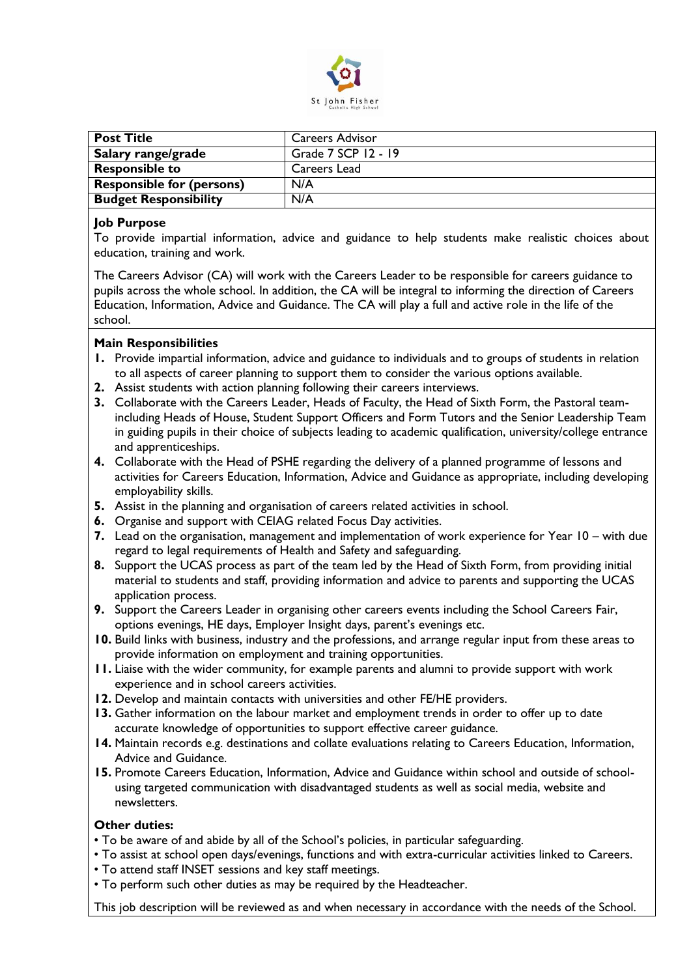

| <b>Post Title</b>                | <b>Careers Advisor</b> |
|----------------------------------|------------------------|
| Salary range/grade               | Grade 7 SCP 12 - 19    |
| <b>Responsible to</b>            | Careers Lead           |
| <b>Responsible for (persons)</b> | N/A                    |
| <b>Budget Responsibility</b>     | N/A                    |

## **Job Purpose**

To provide impartial information, advice and guidance to help students make realistic choices about education, training and work.

The Careers Advisor (CA) will work with the Careers Leader to be responsible for careers guidance to pupils across the whole school. In addition, the CA will be integral to informing the direction of Careers Education, Information, Advice and Guidance. The CA will play a full and active role in the life of the school.

## **Main Responsibilities**

- **1.** Provide impartial information, advice and guidance to individuals and to groups of students in relation to all aspects of career planning to support them to consider the various options available.
- **2.** Assist students with action planning following their careers interviews.
- **3.** Collaborate with the Careers Leader, Heads of Faculty, the Head of Sixth Form, the Pastoral teamincluding Heads of House, Student Support Officers and Form Tutors and the Senior Leadership Team in guiding pupils in their choice of subjects leading to academic qualification, university/college entrance and apprenticeships.
- **4.** Collaborate with the Head of PSHE regarding the delivery of a planned programme of lessons and activities for Careers Education, Information, Advice and Guidance as appropriate, including developing employability skills.
- **5.** Assist in the planning and organisation of careers related activities in school.
- **6.** Organise and support with CEIAG related Focus Day activities.
- **7.** Lead on the organisation, management and implementation of work experience for Year 10 with due regard to legal requirements of Health and Safety and safeguarding.
- **8.** Support the UCAS process as part of the team led by the Head of Sixth Form, from providing initial material to students and staff, providing information and advice to parents and supporting the UCAS application process.
- **9.** Support the Careers Leader in organising other careers events including the School Careers Fair, options evenings, HE days, Employer Insight days, parent's evenings etc.
- **10.** Build links with business, industry and the professions, and arrange regular input from these areas to provide information on employment and training opportunities.
- **11.** Liaise with the wider community, for example parents and alumni to provide support with work experience and in school careers activities.
- **12.** Develop and maintain contacts with universities and other FE/HE providers.
- **13.** Gather information on the labour market and employment trends in order to offer up to date accurate knowledge of opportunities to support effective career guidance.
- **14.** Maintain records e.g. destinations and collate evaluations relating to Careers Education, Information, Advice and Guidance.
- **15.** Promote Careers Education, Information, Advice and Guidance within school and outside of schoolusing targeted communication with disadvantaged students as well as social media, website and newsletters.

## **Other duties:**

- To be aware of and abide by all of the School's policies, in particular safeguarding.
- To assist at school open days/evenings, functions and with extra-curricular activities linked to Careers.
- To attend staff INSET sessions and key staff meetings.
- To perform such other duties as may be required by the Headteacher.

This job description will be reviewed as and when necessary in accordance with the needs of the School.